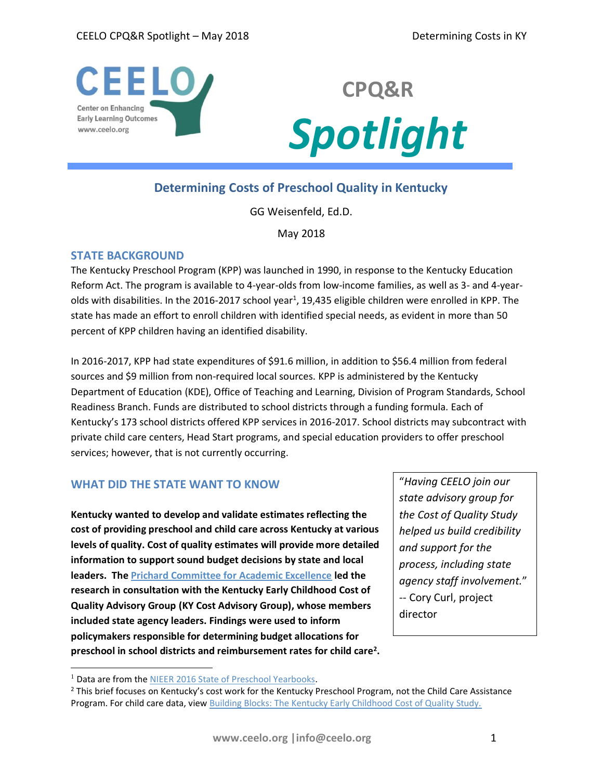



# **Determining Costs of Preschool Quality in Kentucky**

GG Weisenfeld, Ed.D.

May 2018

## **STATE BACKGROUND**

The Kentucky Preschool Program (KPP) was launched in 1990, in response to the Kentucky Education Reform Act. The program is available to 4-year-olds from low-income families, as well as 3- and 4-yearolds with disabilities. In the 2016-2017 school year<sup>1</sup>, 19,435 eligible children were enrolled in KPP. The state has made an effort to enroll children with identified special needs, as evident in more than 50 percent of KPP children having an identified disability.

In 2016-2017, KPP had state expenditures of \$91.6 million, in addition to \$56.4 million from federal sources and \$9 million from non-required local sources. KPP is administered by the Kentucky Department of Education (KDE), Office of Teaching and Learning, Division of Program Standards, School Readiness Branch. Funds are distributed to school districts through a funding formula. Each of Kentucky's 173 school districts offered KPP services in 2016-2017. School districts may subcontract with private child care centers, Head Start programs, and special education providers to offer preschool services; however, that is not currently occurring.

# **WHAT DID THE STATE WANT TO KNOW**

**Kentucky wanted to develop and validate estimates reflecting the cost of providing preschool and child care across Kentucky at various levels of quality. Cost of quality estimates will provide more detailed information to support sound budget decisions by state and local leaders. Th[e Prichard Committee for Academic Excellence](http://prichardcommittee.org/) led the research in consultation with the Kentucky Early Childhood Cost of Quality Advisory Group (KY Cost Advisory Group), whose members included state agency leaders. Findings were used to inform policymakers responsible for determining budget allocations for preschool in school districts and reimbursement rates for child care<sup>2</sup> .** 

"*Having CEELO join our state advisory group for the Cost of Quality Study helped us build credibility and support for the process, including state agency staff involvement.*" -- Cory Curl, project director

 $\overline{a}$ 

<sup>&</sup>lt;sup>1</sup> Data are from the [NIEER 2016 State of Preschool Yearbooks.](http://nieer.org/state-preschool-yearbooks/yearbook2016#profiles)

<sup>2</sup> This brief focuses on Kentucky's cost work for the Kentucky Preschool Program, not the Child Care Assistance Program. For child care data, view [Building Blocks: The Kentucky Early Childhood Cost of Quality Study.](http://prichardcommittee.org/cost-of-quality/)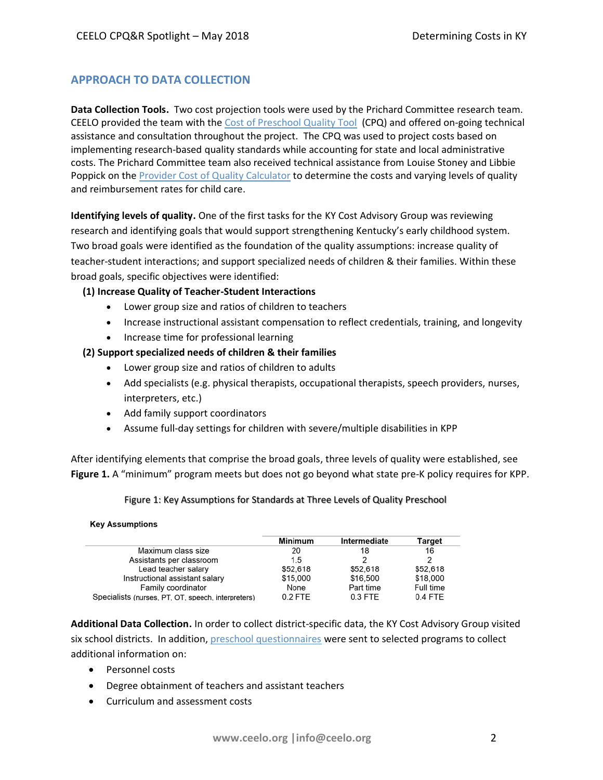# **APPROACH TO DATA COLLECTION**

**Data Collection Tools.** Two cost projection tools were used by the Prichard Committee research team. CEELO provided the team with the [Cost of Preschool Quality Tool](http://ceelo.org/cost-of-preschool-quality-tool/) (CPQ) and offered on-going technical assistance and consultation throughout the project. The CPQ was used to project costs based on implementing research-based quality standards while accounting for state and local administrative costs. The Prichard Committee team also received technical assistance from Louise Stoney and Libbie Poppick on the **Provider Cost of Quality Calculator** to determine the costs and varying levels of quality and reimbursement rates for child care.

**Identifying levels of quality.** One of the first tasks for the KY Cost Advisory Group was reviewing research and identifying goals that would support strengthening Kentucky's early childhood system. Two broad goals were identified as the foundation of the quality assumptions: increase quality of teacher-student interactions; and support specialized needs of children & their families. Within these broad goals, specific objectives were identified:

### **(1) Increase Quality of Teacher-Student Interactions**

- Lower group size and ratios of children to teachers
- Increase instructional assistant compensation to reflect credentials, training, and longevity
- Increase time for professional learning

### **(2) Support specialized needs of children & their families**

- Lower group size and ratios of children to adults
- Add specialists (e.g. physical therapists, occupational therapists, speech providers, nurses, interpreters, etc.)
- Add family support coordinators
- Assume full-day settings for children with severe/multiple disabilities in KPP

After identifying elements that comprise the broad goals, three levels of quality were established, see **Figure 1.** A "minimum" program meets but does not go beyond what state pre-K policy requires for KPP.

### Figure 1: Key Assumptions for Standards at Three Levels of Quality Preschool

#### **Key Assumptions**

|                                                    | Minimum   | Intermediate | Target    |
|----------------------------------------------------|-----------|--------------|-----------|
| Maximum class size                                 | 20        | 18           | 16        |
| Assistants per classroom                           | 1.5       |              | 2         |
| Lead teacher salary                                | \$52,618  | \$52,618     | \$52,618  |
| Instructional assistant salary                     | \$15,000  | \$16,500     | \$18,000  |
| Family coordinator                                 | None      | Part time    | Full time |
| Specialists (nurses, PT, OT, speech, interpreters) | $0.2$ FTE | $0.3$ FTE    | 0.4 FTE   |

**Additional Data Collection.** In order to collect district-specific data, the KY Cost Advisory Group visited six school districts.In addition, [preschool questionnaires](http://prichardcommittee.org/wp-content/uploads/Early-Childhood-Cost-of-Quality-Study-Preschool-Questionnaire.pdf) were sent to selected programs to collect additional information on:

- Personnel costs
- Degree obtainment of teachers and assistant teachers
- Curriculum and assessment costs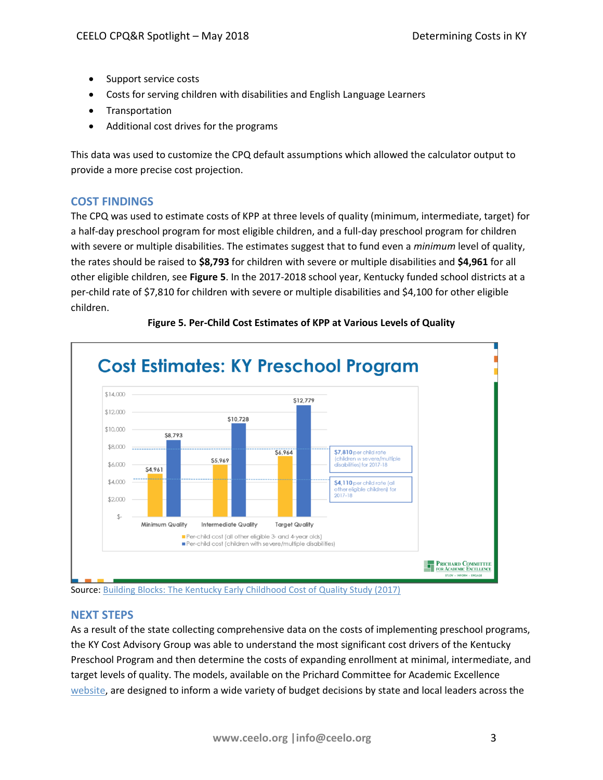- Support service costs
- Costs for serving children with disabilities and English Language Learners
- Transportation
- Additional cost drives for the programs

This data was used to customize the CPQ default assumptions which allowed the calculator output to provide a more precise cost projection.

# **COST FINDINGS**

The CPQ was used to estimate costs of KPP at three levels of quality (minimum, intermediate, target) for a half-day preschool program for most eligible children, and a full-day preschool program for children with severe or multiple disabilities. The estimates suggest that to fund even a *minimum* level of quality, the rates should be raised to **\$8,793** for children with severe or multiple disabilities and **\$4,961** for all other eligible children, see **Figure 5**. In the 2017-2018 school year, Kentucky funded school districts at a per-child rate of \$7,810 for children with severe or multiple disabilities and \$4,100 for other eligible children.



# **Figure 5. Per-Child Cost Estimates of KPP at Various Levels of Quality**

Source[: Building Blocks: The Kentucky Early Childhood Cost of Quality Study \(2017\)](http://prichardcommittee.org/cost-of-quality/)

## **NEXT STEPS**

As a result of the state collecting comprehensive data on the costs of implementing preschool programs, the KY Cost Advisory Group was able to understand the most significant cost drivers of the Kentucky Preschool Program and then determine the costs of expanding enrollment at minimal, intermediate, and target levels of quality. The models, available on the Prichard Committee for Academic Excellence [website,](http://prichardcommittee.org/cost-of-quality/) are designed to inform a wide variety of budget decisions by state and local leaders across the